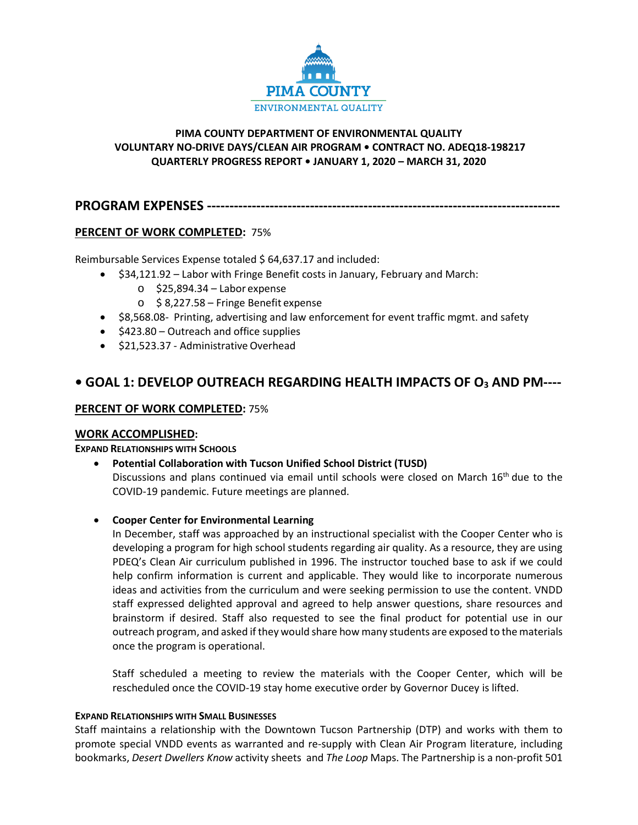

# **PIMA COUNTY DEPARTMENT OF ENVIRONMENTAL QUALITY VOLUNTARY NO-DRIVE DAYS/CLEAN AIR PROGRAM • CONTRACT NO. ADEQ18-198217 QUARTERLY PROGRESS REPORT • JANUARY 1, 2020 – MARCH 31, 2020**

**PROGRAM EXPENSES -------------------------------------------------------------------------------**

# **PERCENT OF WORK COMPLETED:** 75%

Reimbursable Services Expense totaled \$ 64,637.17 and included:

- \$34,121.92 Labor with Fringe Benefit costs in January, February and March:
	- $\circ$  \$25,894.34 Labor expense
	- o \$ 8,227.58 Fringe Benefit expense
- \$8,568.08- Printing, advertising and law enforcement for event traffic mgmt. and safety
- \$423.80 Outreach and office supplies
- \$21,523.37 Administrative Overhead

# **• GOAL 1: DEVELOP OUTREACH REGARDING HEALTH IMPACTS OF O3 AND PM----**

# **PERCENT OF WORK COMPLETED:** 75%

## **WORK ACCOMPLISHED:**

## **EXPAND RELATIONSHIPS WITH SCHOOLS**

- **Potential Collaboration with Tucson Unified School District (TUSD)** Discussions and plans continued via email until schools were closed on March 16<sup>th</sup> due to the COVID-19 pandemic. Future meetings are planned.
- **Cooper Center for Environmental Learning**

In December, staff was approached by an instructional specialist with the Cooper Center who is developing a program for high school students regarding air quality. As a resource, they are using PDEQ's Clean Air curriculum published in 1996. The instructor touched base to ask if we could help confirm information is current and applicable. They would like to incorporate numerous ideas and activities from the curriculum and were seeking permission to use the content. VNDD staff expressed delighted approval and agreed to help answer questions, share resources and brainstorm if desired. Staff also requested to see the final product for potential use in our outreach program, and asked if they would share how many students are exposed to the materials once the program is operational.

Staff scheduled a meeting to review the materials with the Cooper Center, which will be rescheduled once the COVID-19 stay home executive order by Governor Ducey is lifted.

## **EXPAND RELATIONSHIPS WITH SMALL BUSINESSES**

Staff maintains a relationship with the Downtown Tucson Partnership (DTP) and works with them to promote special VNDD events as warranted and re-supply with Clean Air Program literature, including bookmarks, *Desert Dwellers Know* activity sheets and *The Loop* Maps. The Partnership is a non-profit 501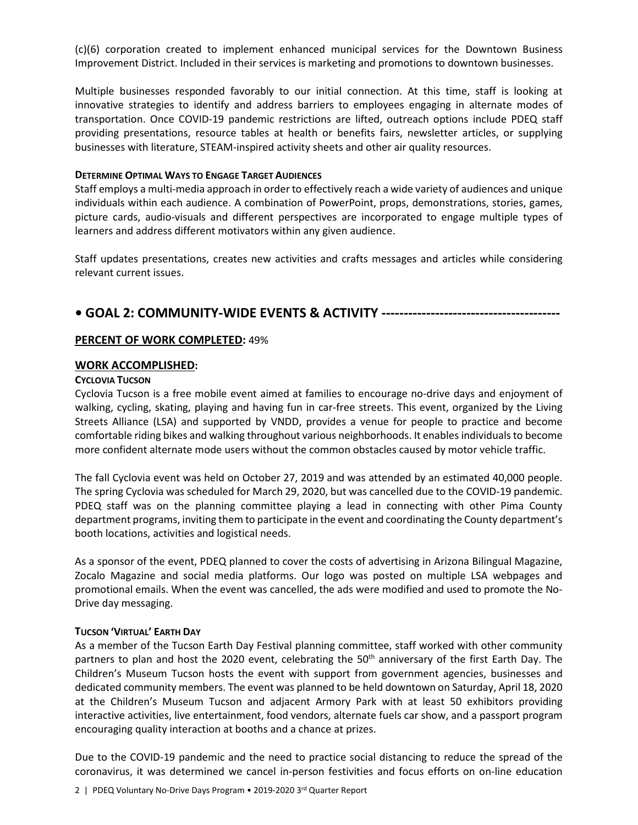(c)(6) corporation created to implement enhanced municipal services for the Downtown Business Improvement District. Included in their services is marketing and promotions to downtown businesses.

Multiple businesses responded favorably to our initial connection. At this time, staff is looking at innovative strategies to identify and address barriers to employees engaging in alternate modes of transportation. Once COVID-19 pandemic restrictions are lifted, outreach options include PDEQ staff providing presentations, resource tables at health or benefits fairs, newsletter articles, or supplying businesses with literature, STEAM-inspired activity sheets and other air quality resources.

#### **DETERMINE OPTIMAL WAYS TO ENGAGE TARGET AUDIENCES**

Staff employs a multi-media approach in order to effectively reach a wide variety of audiences and unique individuals within each audience. A combination of PowerPoint, props, demonstrations, stories, games, picture cards, audio-visuals and different perspectives are incorporated to engage multiple types of learners and address different motivators within any given audience.

Staff updates presentations, creates new activities and crafts messages and articles while considering relevant current issues.

# **• GOAL 2: COMMUNITY-WIDE EVENTS & ACTIVITY ----------------------------------------**

## **PERCENT OF WORK COMPLETED:** 49%

## **WORK ACCOMPLISHED:**

## **CYCLOVIA TUCSON**

Cyclovia Tucson is a free mobile event aimed at families to encourage no-drive days and enjoyment of walking, cycling, skating, playing and having fun in car-free streets. This event, organized by the Living Streets Alliance (LSA) and supported by VNDD, provides a venue for people to practice and become comfortable riding bikes and walking throughout various neighborhoods. It enables individuals to become more confident alternate mode users without the common obstacles caused by motor vehicle traffic.

The fall Cyclovia event was held on October 27, 2019 and was attended by an estimated 40,000 people. The spring Cyclovia was scheduled for March 29, 2020, but was cancelled due to the COVID-19 pandemic. PDEQ staff was on the planning committee playing a lead in connecting with other Pima County department programs, inviting them to participate in the event and coordinating the County department's booth locations, activities and logistical needs.

As a sponsor of the event, PDEQ planned to cover the costs of advertising in Arizona Bilingual Magazine, Zocalo Magazine and social media platforms. Our logo was posted on multiple LSA webpages and promotional emails. When the event was cancelled, the ads were modified and used to promote the No-Drive day messaging.

#### **TUCSON 'VIRTUAL' EARTH DAY**

As a member of the Tucson Earth Day Festival planning committee, staff worked with other community partners to plan and host the 2020 event, celebrating the 50<sup>th</sup> anniversary of the first Earth Day. The Children's Museum Tucson hosts the event with support from government agencies, businesses and dedicated community members. The event was planned to be held downtown on Saturday, April 18, 2020 at the Children's Museum Tucson and adjacent Armory Park with at least 50 exhibitors providing interactive activities, live entertainment, food vendors, alternate fuels car show, and a passport program encouraging quality interaction at booths and a chance at prizes.

Due to the COVID-19 pandemic and the need to practice social distancing to reduce the spread of the coronavirus, it was determined we cancel in-person festivities and focus efforts on on-line education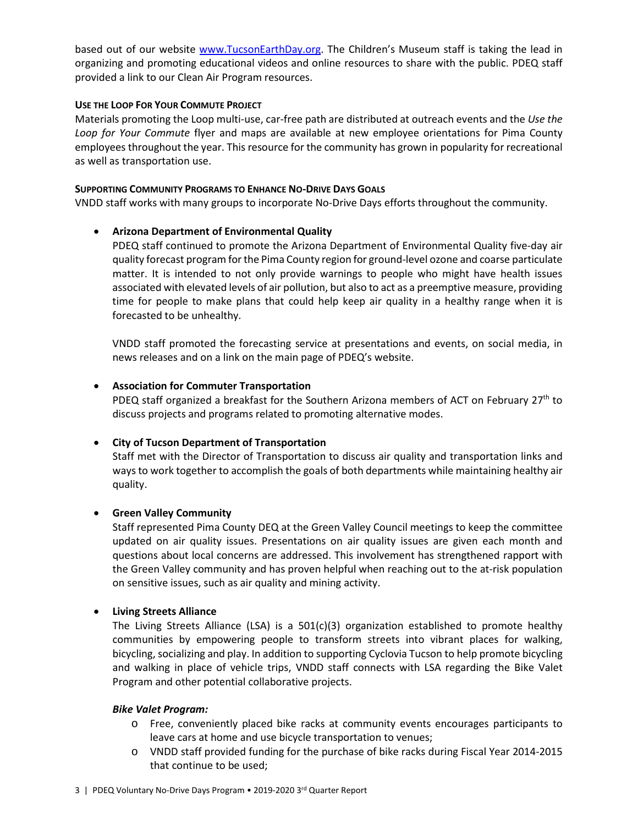based out of our website [www.TucsonEarthDay.org.](http://www.tucsonearthday.org/) The Children's Museum staff is taking the lead in organizing and promoting educational videos and online resources to share with the public. PDEQ staff provided a link to our Clean Air Program resources.

#### **USE THE LOOP FOR YOUR COMMUTE PROJECT**

Materials promoting the Loop multi-use, car-free path are distributed at outreach events and the *Use the Loop for Your Commute* flyer and maps are available at new employee orientations for Pima County employees throughout the year. This resource for the community has grown in popularity for recreational as well as transportation use.

#### **SUPPORTING COMMUNITY PROGRAMS TO ENHANCE NO-DRIVE DAYS GOALS**

VNDD staff works with many groups to incorporate No-Drive Days efforts throughout the community.

## • **Arizona Department of Environmental Quality**

PDEQ staff continued to promote the Arizona Department of Environmental Quality five-day air quality forecast program for the Pima County region for ground-level ozone and coarse particulate matter. It is intended to not only provide warnings to people who might have health issues associated with elevated levels of air pollution, but also to act as a preemptive measure, providing time for people to make plans that could help keep air quality in a healthy range when it is forecasted to be unhealthy.

VNDD staff promoted the forecasting service at presentations and events, on social media, in news releases and on a link on the main page of PDEQ's website.

## • **Association for Commuter Transportation**

PDEQ staff organized a breakfast for the Southern Arizona members of ACT on February 27<sup>th</sup> to discuss projects and programs related to promoting alternative modes.

## • **City of Tucson Department of Transportation**

Staff met with the Director of Transportation to discuss air quality and transportation links and ways to work together to accomplish the goals of both departments while maintaining healthy air quality.

## • **Green Valley Community**

Staff represented Pima County DEQ at the Green Valley Council meetings to keep the committee updated on air quality issues. Presentations on air quality issues are given each month and questions about local concerns are addressed. This involvement has strengthened rapport with the Green Valley community and has proven helpful when reaching out to the at-risk population on sensitive issues, such as air quality and mining activity.

#### • **Living Streets Alliance**

The Living Streets Alliance (LSA) is a  $501(c)(3)$  organization established to promote healthy communities by empowering people to transform streets into vibrant places for walking, bicycling, socializing and play. In addition to supporting Cyclovia Tucson to help promote bicycling and walking in place of vehicle trips, VNDD staff connects with LSA regarding the Bike Valet Program and other potential collaborative projects.

#### *Bike Valet Program:*

- o Free, conveniently placed bike racks at community events encourages participants to leave cars at home and use bicycle transportation to venues;
- o VNDD staff provided funding for the purchase of bike racks during Fiscal Year 2014-2015 that continue to be used;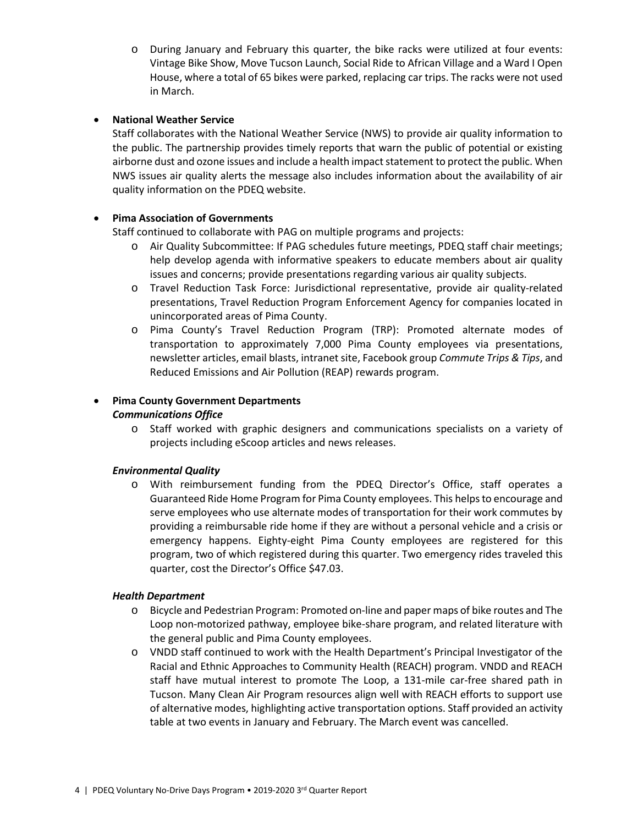o During January and February this quarter, the bike racks were utilized at four events: Vintage Bike Show, Move Tucson Launch, Social Ride to African Village and a Ward I Open House, where a total of 65 bikes were parked, replacing car trips. The racks were not used in March.

## • **National Weather Service**

Staff collaborates with the National Weather Service (NWS) to provide air quality information to the public. The partnership provides timely reports that warn the public of potential or existing airborne dust and ozone issues and include a health impact statement to protect the public. When NWS issues air quality alerts the message also includes information about the availability of air quality information on the PDEQ website.

## • **Pima Association of Governments**

Staff continued to collaborate with PAG on multiple programs and projects:

- o Air Quality Subcommittee: If PAG schedules future meetings, PDEQ staff chair meetings; help develop agenda with informative speakers to educate members about air quality issues and concerns; provide presentations regarding various air quality subjects.
- o Travel Reduction Task Force: Jurisdictional representative, provide air quality-related presentations, Travel Reduction Program Enforcement Agency for companies located in unincorporated areas of Pima County.
- o Pima County's Travel Reduction Program (TRP): Promoted alternate modes of transportation to approximately 7,000 Pima County employees via presentations, newsletter articles, email blasts, intranet site, Facebook group *Commute Trips & Tips*, and Reduced Emissions and Air Pollution (REAP) rewards program.

# • **Pima County Government Departments**

## *Communications Office*

o Staff worked with graphic designers and communications specialists on a variety of projects including eScoop articles and news releases.

## *Environmental Quality*

o With reimbursement funding from the PDEQ Director's Office, staff operates a Guaranteed Ride Home Program for Pima County employees. This helps to encourage and serve employees who use alternate modes of transportation for their work commutes by providing a reimbursable ride home if they are without a personal vehicle and a crisis or emergency happens. Eighty-eight Pima County employees are registered for this program, two of which registered during this quarter. Two emergency rides traveled this quarter, cost the Director's Office \$47.03.

## *Health Department*

- o Bicycle and Pedestrian Program: Promoted on-line and paper maps of bike routes and The Loop non-motorized pathway, employee bike-share program, and related literature with the general public and Pima County employees.
- o VNDD staff continued to work with the Health Department's Principal Investigator of the Racial and Ethnic Approaches to Community Health (REACH) program. VNDD and REACH staff have mutual interest to promote The Loop, a 131-mile car-free shared path in Tucson. Many Clean Air Program resources align well with REACH efforts to support use of alternative modes, highlighting active transportation options. Staff provided an activity table at two events in January and February. The March event was cancelled.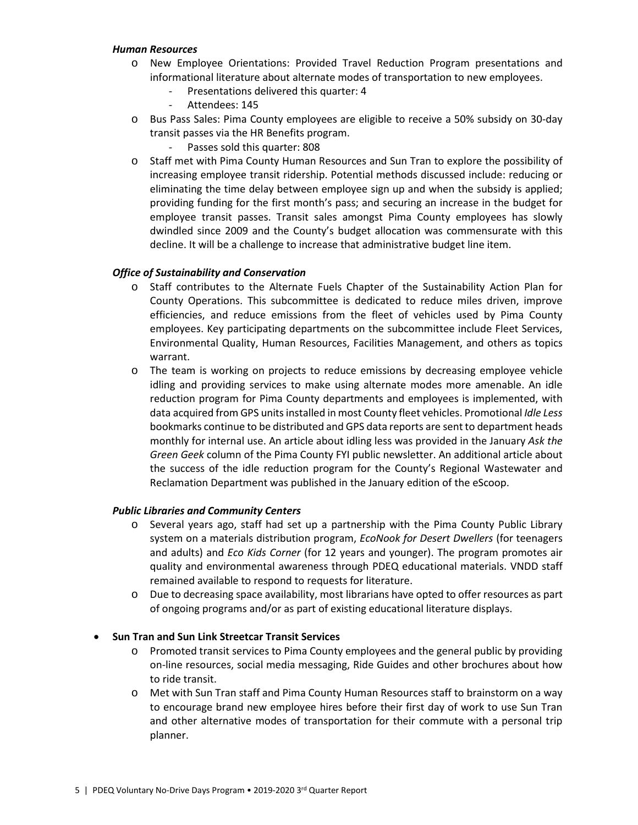#### *Human Resources*

- o New Employee Orientations: Provided Travel Reduction Program presentations and informational literature about alternate modes of transportation to new employees.
	- Presentations delivered this quarter: 4
	- Attendees: 145
- o Bus Pass Sales: Pima County employees are eligible to receive a 50% subsidy on 30-day transit passes via the HR Benefits program.
	- Passes sold this quarter: 808
- o Staff met with Pima County Human Resources and Sun Tran to explore the possibility of increasing employee transit ridership. Potential methods discussed include: reducing or eliminating the time delay between employee sign up and when the subsidy is applied; providing funding for the first month's pass; and securing an increase in the budget for employee transit passes. Transit sales amongst Pima County employees has slowly dwindled since 2009 and the County's budget allocation was commensurate with this decline. It will be a challenge to increase that administrative budget line item.

## *Office of Sustainability and Conservation*

- o Staff contributes to the Alternate Fuels Chapter of the Sustainability Action Plan for County Operations. This subcommittee is dedicated to reduce miles driven, improve efficiencies, and reduce emissions from the fleet of vehicles used by Pima County employees. Key participating departments on the subcommittee include Fleet Services, Environmental Quality, Human Resources, Facilities Management, and others as topics warrant.
- o The team is working on projects to reduce emissions by decreasing employee vehicle idling and providing services to make using alternate modes more amenable. An idle reduction program for Pima County departments and employees is implemented, with data acquired from GPS units installed in most County fleet vehicles. Promotional *Idle Less*  bookmarks continue to be distributed and GPS data reports are sent to department heads monthly for internal use. An article about idling less was provided in the January *Ask the Green Geek* column of the Pima County FYI public newsletter. An additional article about the success of the idle reduction program for the County's Regional Wastewater and Reclamation Department was published in the January edition of the eScoop.

## *Public Libraries and Community Centers*

- o Several years ago, staff had set up a partnership with the Pima County Public Library system on a materials distribution program, *EcoNook for Desert Dwellers* (for teenagers and adults) and *Eco Kids Corner* (for 12 years and younger). The program promotes air quality and environmental awareness through PDEQ educational materials. VNDD staff remained available to respond to requests for literature.
- o Due to decreasing space availability, most librarians have opted to offer resources as part of ongoing programs and/or as part of existing educational literature displays.

## • **Sun Tran and Sun Link Streetcar Transit Services**

- o Promoted transit services to Pima County employees and the general public by providing on-line resources, social media messaging, Ride Guides and other brochures about how to ride transit.
- o Met with Sun Tran staff and Pima County Human Resources staff to brainstorm on a way to encourage brand new employee hires before their first day of work to use Sun Tran and other alternative modes of transportation for their commute with a personal trip planner.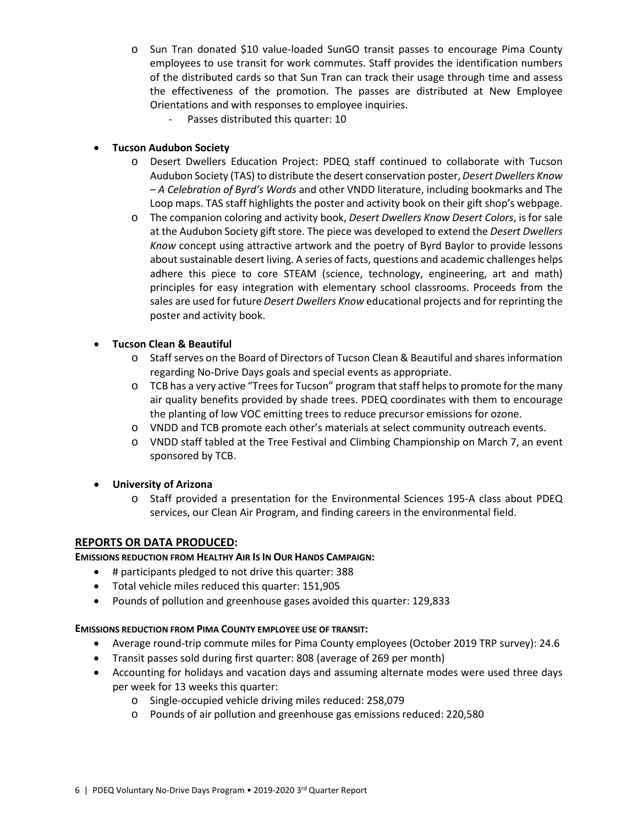o Sun Tran donated \$10 value-loaded SunGO transit passes to encourage Pima County employees to use transit for work commutes. Staff provides the identification numbers of the distributed cards so that Sun Tran can track their usage through time and assess the effectiveness of the promotion. The passes are distributed at New Employee Orientations and with responses to employee inquiries.

Passes distributed this quarter: 10

# • **Tucson Audubon Society**

- o Desert Dwellers Education Project: PDEQ staff continued to collaborate with Tucson Audubon Society (TAS) to distribute the desert conservation poster, *Desert Dwellers Know – A Celebration of Byrd's Words* and other VNDD literature, including bookmarks and The Loop maps. TAS staff highlights the poster and activity book on their gift shop's webpage.
- o The companion coloring and activity book, *Desert Dwellers Know Desert Colors*, is for sale at the Audubon Society gift store. The piece was developed to extend the *Desert Dwellers Know* concept using attractive artwork and the poetry of Byrd Baylor to provide lessons about sustainable desert living. A series of facts, questions and academic challenges helps adhere this piece to core STEAM (science, technology, engineering, art and math) principles for easy integration with elementary school classrooms. Proceeds from the sales are used for future *Desert Dwellers Know* educational projects and for reprinting the poster and activity book.

## • **Tucson Clean & Beautiful**

- o Staff serves on the Board of Directors of Tucson Clean & Beautiful and shares information regarding No-Drive Days goals and special events as appropriate.
- o TCB has a very active "Trees for Tucson" program that staff helps to promote for the many air quality benefits provided by shade trees. PDEQ coordinates with them to encourage the planting of low VOC emitting trees to reduce precursor emissions for ozone.
- o VNDD and TCB promote each other's materials at select community outreach events.
- o VNDD staff tabled at the Tree Festival and Climbing Championship on March 7, an event sponsored by TCB.

# • **University of Arizona**

o Staff provided a presentation for the Environmental Sciences 195-A class about PDEQ services, our Clean Air Program, and finding careers in the environmental field.

## **REPORTS OR DATA PRODUCED:**

## **EMISSIONS REDUCTION FROM HEALTHY AIR IS IN OUR HANDS CAMPAIGN:**

- # participants pledged to not drive this quarter: 388
- Total vehicle miles reduced this quarter: 151,905
- Pounds of pollution and greenhouse gases avoided this quarter: 129,833

## **EMISSIONS REDUCTION FROM PIMA COUNTY EMPLOYEE USE OF TRANSIT:**

- Average round-trip commute miles for Pima County employees (October 2019 TRP survey): 24.6
- Transit passes sold during first quarter: 808 (average of 269 per month)
- Accounting for holidays and vacation days and assuming alternate modes were used three days per week for 13 weeks this quarter:
	- o Single-occupied vehicle driving miles reduced: 258,079
	- o Pounds of air pollution and greenhouse gas emissions reduced: 220,580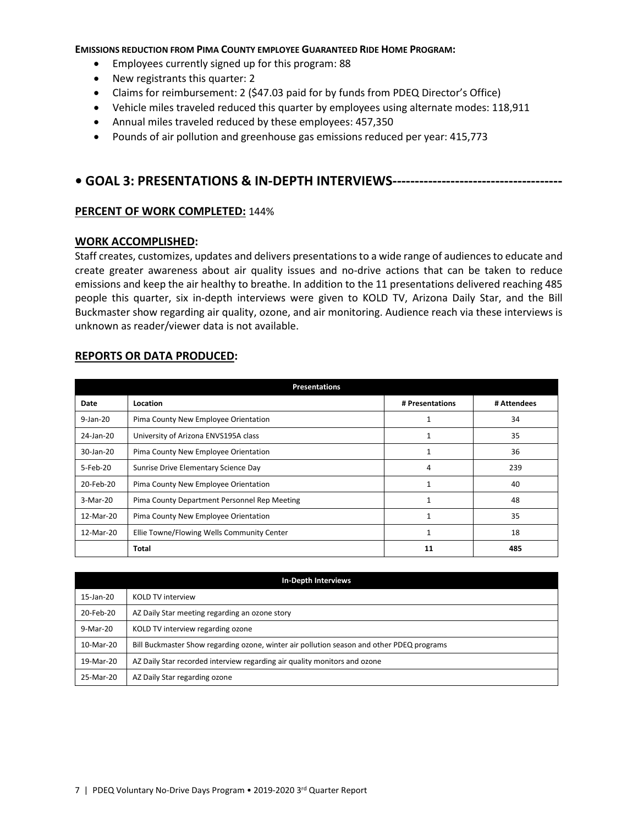#### **EMISSIONS REDUCTION FROM PIMA COUNTY EMPLOYEE GUARANTEED RIDE HOME PROGRAM:**

- Employees currently signed up for this program: 88
- New registrants this quarter: 2
- Claims for reimbursement: 2 (\$47.03 paid for by funds from PDEQ Director's Office)
- Vehicle miles traveled reduced this quarter by employees using alternate modes: 118,911
- Annual miles traveled reduced by these employees: 457,350
- Pounds of air pollution and greenhouse gas emissions reduced per year: 415,773

# **• GOAL 3: PRESENTATIONS & IN-DEPTH INTERVIEWS--------------------------------------**

#### **PERCENT OF WORK COMPLETED:** 144%

#### **WORK ACCOMPLISHED:**

Staff creates, customizes, updates and delivers presentations to a wide range of audiences to educate and create greater awareness about air quality issues and no-drive actions that can be taken to reduce emissions and keep the air healthy to breathe. In addition to the 11 presentations delivered reaching 485 people this quarter, six in-depth interviews were given to KOLD TV, Arizona Daily Star, and the Bill Buckmaster show regarding air quality, ozone, and air monitoring. Audience reach via these interviews is unknown as reader/viewer data is not available.

#### **REPORTS OR DATA PRODUCED:**

| <b>Presentations</b> |                                              |                 |             |  |  |
|----------------------|----------------------------------------------|-----------------|-------------|--|--|
| Date                 | Location                                     | # Presentations | # Attendees |  |  |
| 9-Jan-20             | Pima County New Employee Orientation         | 1               | 34          |  |  |
| 24-Jan-20            | University of Arizona ENVS195A class         | 1               | 35          |  |  |
| 30-Jan-20            | Pima County New Employee Orientation         | 1               | 36          |  |  |
| 5-Feb-20             | Sunrise Drive Elementary Science Day         | 4               | 239         |  |  |
| 20-Feb-20            | Pima County New Employee Orientation         | $\mathbf{1}$    | 40          |  |  |
| 3-Mar-20             | Pima County Department Personnel Rep Meeting | 1               | 48          |  |  |
| 12-Mar-20            | Pima County New Employee Orientation         | $\mathbf{1}$    | 35          |  |  |
| 12-Mar-20            | Ellie Towne/Flowing Wells Community Center   | $\mathbf{1}$    | 18          |  |  |
|                      | Total                                        | 11              | 485         |  |  |

| <b>In-Depth Interviews</b> |                                                                                           |  |  |
|----------------------------|-------------------------------------------------------------------------------------------|--|--|
| 15-Jan-20                  | <b>KOLD TV interview</b>                                                                  |  |  |
| 20-Feb-20                  | AZ Daily Star meeting regarding an ozone story                                            |  |  |
| 9-Mar-20                   | KOLD TV interview regarding ozone                                                         |  |  |
| 10-Mar-20                  | Bill Buckmaster Show regarding ozone, winter air pollution season and other PDEQ programs |  |  |
| 19-Mar-20                  | AZ Daily Star recorded interview regarding air quality monitors and ozone                 |  |  |
| 25-Mar-20                  | AZ Daily Star regarding ozone                                                             |  |  |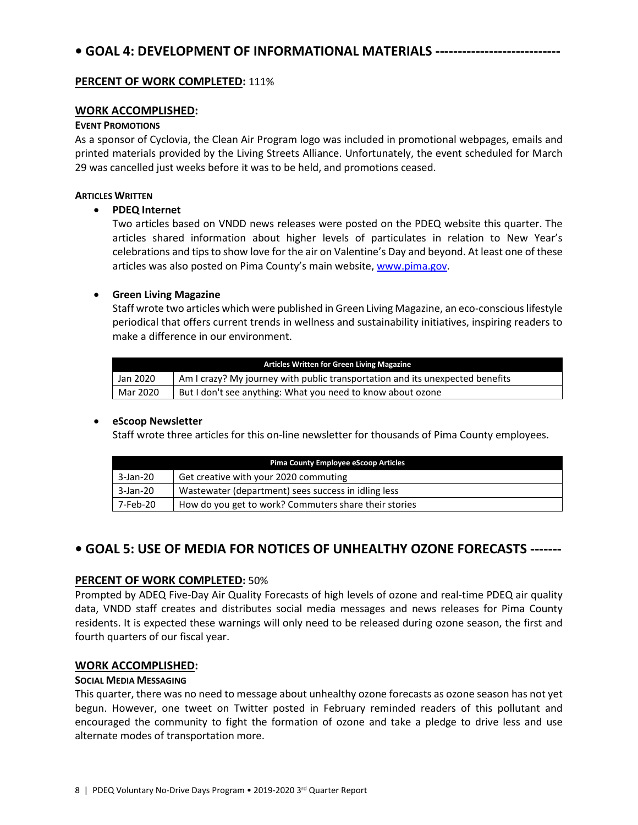# **• GOAL 4: DEVELOPMENT OF INFORMATIONAL MATERIALS ----------------------------**

## **PERCENT OF WORK COMPLETED: 111%**

#### **WORK ACCOMPLISHED:**

#### **EVENT PROMOTIONS**

As a sponsor of Cyclovia, the Clean Air Program logo was included in promotional webpages, emails and printed materials provided by the Living Streets Alliance. Unfortunately, the event scheduled for March 29 was cancelled just weeks before it was to be held, and promotions ceased.

#### **ARTICLES WRITTEN**

#### • **PDEQ Internet**

Two articles based on VNDD news releases were posted on the PDEQ website this quarter. The articles shared information about higher levels of particulates in relation to New Year's celebrations and tips to show love for the air on Valentine's Day and beyond. At least one of these articles was also posted on Pima County's main website, [www.pima.gov.](http://www.pima.gov/)

#### • **Green Living Magazine**

Staff wrote two articles which were published in Green Living Magazine, an eco-conscious lifestyle periodical that offers current trends in wellness and sustainability initiatives, inspiring readers to make a difference in our environment.

| Articles Written for Green Living Magazine |                                                                               |  |  |
|--------------------------------------------|-------------------------------------------------------------------------------|--|--|
| Jan 2020                                   | Am I crazy? My journey with public transportation and its unexpected benefits |  |  |
| Mar 2020                                   | But I don't see anything: What you need to know about ozone                   |  |  |

## • **eScoop Newsletter**

Staff wrote three articles for this on-line newsletter for thousands of Pima County employees.

| <b>Pima County Employee eScoop Articles</b> |                                                       |  |  |
|---------------------------------------------|-------------------------------------------------------|--|--|
| 3-Jan-20                                    | Get creative with your 2020 commuting                 |  |  |
| 3-Jan-20                                    | Wastewater (department) sees success in idling less   |  |  |
| 7-Feb-20                                    | How do you get to work? Commuters share their stories |  |  |

# **• GOAL 5: USE OF MEDIA FOR NOTICES OF UNHEALTHY OZONE FORECASTS -------**

## **PERCENT OF WORK COMPLETED:** 50%

Prompted by ADEQ Five-Day Air Quality Forecasts of high levels of ozone and real-time PDEQ air quality data, VNDD staff creates and distributes social media messages and news releases for Pima County residents. It is expected these warnings will only need to be released during ozone season, the first and fourth quarters of our fiscal year.

## **WORK ACCOMPLISHED:**

#### **SOCIAL MEDIA MESSAGING**

This quarter, there was no need to message about unhealthy ozone forecasts as ozone season has not yet begun. However, one tweet on Twitter posted in February reminded readers of this pollutant and encouraged the community to fight the formation of ozone and take a pledge to drive less and use alternate modes of transportation more.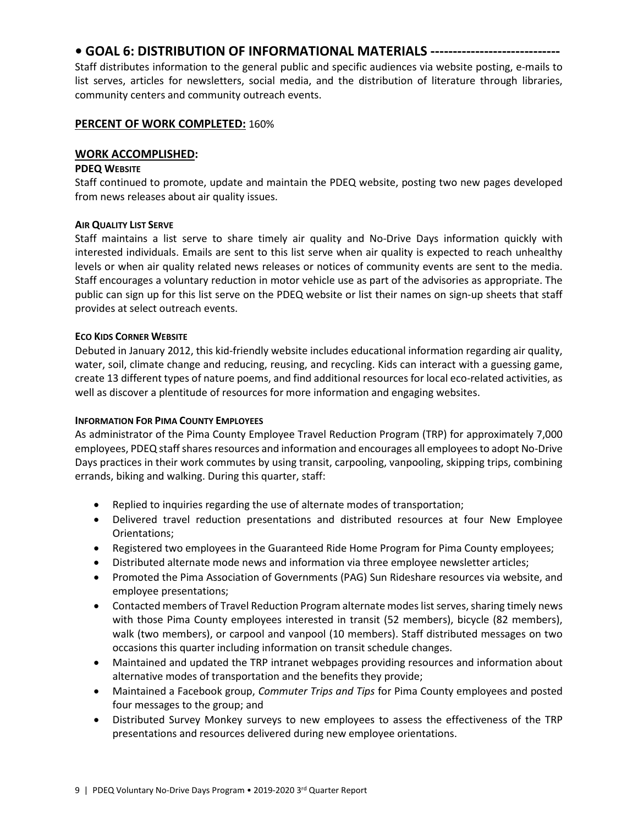# **• GOAL 6: DISTRIBUTION OF INFORMATIONAL MATERIALS -----------------------------**

Staff distributes information to the general public and specific audiences via website posting, e-mails to list serves, articles for newsletters, social media, and the distribution of literature through libraries, community centers and community outreach events.

## **PERCENT OF WORK COMPLETED:** 160%

## **WORK ACCOMPLISHED:**

## **PDEQ WEBSITE**

Staff continued to promote, update and maintain the PDEQ website, posting two new pages developed from news releases about air quality issues.

## **AIR QUALITY LIST SERVE**

Staff maintains a list serve to share timely air quality and No-Drive Days information quickly with interested individuals. Emails are sent to this list serve when air quality is expected to reach unhealthy levels or when air quality related news releases or notices of community events are sent to the media. Staff encourages a voluntary reduction in motor vehicle use as part of the advisories as appropriate. The public can sign up for this list serve on the PDEQ website or list their names on sign-up sheets that staff provides at select outreach events.

## **ECO KIDS CORNER WEBSITE**

Debuted in January 2012, this kid-friendly website includes educational information regarding air quality, water, soil, climate change and reducing, reusing, and recycling. Kids can interact with a guessing game, create 13 different types of nature poems, and find additional resources for local eco-related activities, as well as discover a plentitude of resources for more information and engaging websites.

## **INFORMATION FOR PIMA COUNTY EMPLOYEES**

As administrator of the Pima County Employee Travel Reduction Program (TRP) for approximately 7,000 employees, PDEQ staffshares resources and information and encourages all employees to adopt No-Drive Days practices in their work commutes by using transit, carpooling, vanpooling, skipping trips, combining errands, biking and walking. During this quarter, staff:

- Replied to inquiries regarding the use of alternate modes of transportation;
- Delivered travel reduction presentations and distributed resources at four New Employee Orientations;
- Registered two employees in the Guaranteed Ride Home Program for Pima County employees;
- Distributed alternate mode news and information via three employee newsletter articles;
- Promoted the Pima Association of Governments (PAG) Sun Rideshare resources via website, and employee presentations;
- Contacted members of Travel Reduction Program alternate modes list serves, sharing timely news with those Pima County employees interested in transit (52 members), bicycle (82 members), walk (two members), or carpool and vanpool (10 members). Staff distributed messages on two occasions this quarter including information on transit schedule changes.
- Maintained and updated the TRP intranet webpages providing resources and information about alternative modes of transportation and the benefits they provide;
- Maintained a Facebook group, *Commuter Trips and Tips* for Pima County employees and posted four messages to the group; and
- Distributed Survey Monkey surveys to new employees to assess the effectiveness of the TRP presentations and resources delivered during new employee orientations.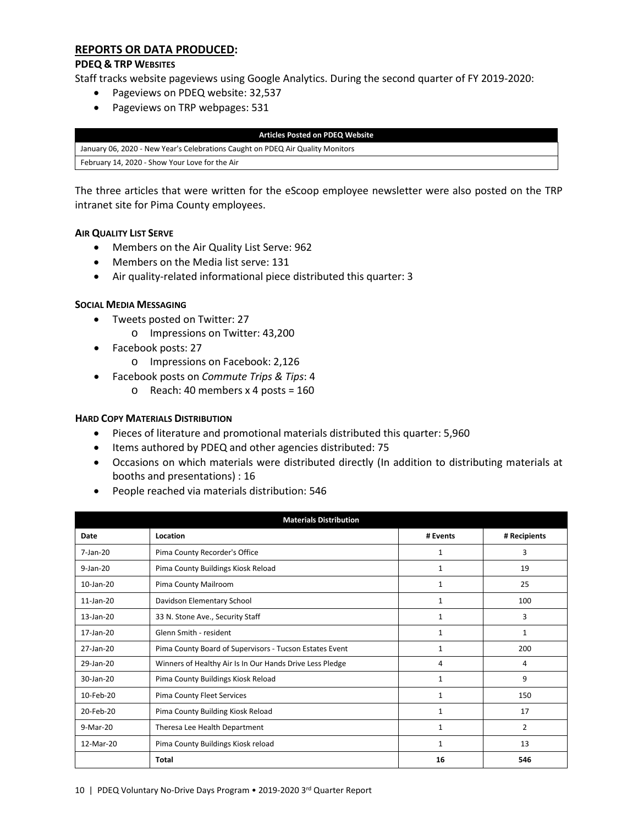## **REPORTS OR DATA PRODUCED:**

#### **PDEQ & TRP WEBSITES**

Staff tracks website pageviews using Google Analytics. During the second quarter of FY 2019-2020:

- Pageviews on PDEQ website: 32,537
- Pageviews on TRP webpages: 531

**Articles Posted on PDEQ Website** January 06, 2020 - New Year's Celebrations Caught on PDEQ Air Quality Monitors February 14, 2020 - Show Your Love for the Air

The three articles that were written for the eScoop employee newsletter were also posted on the TRP intranet site for Pima County employees.

#### **AIR QUALITY LIST SERVE**

- Members on the Air Quality List Serve: 962
- Members on the Media list serve: 131
- Air quality-related informational piece distributed this quarter: 3

#### **SOCIAL MEDIA MESSAGING**

- Tweets posted on Twitter: 27
	- o Impressions on Twitter: 43,200
- Facebook posts: 27
	- o Impressions on Facebook: 2,126
- Facebook posts on *Commute Trips & Tips*: 4
	- $\circ$  Reach: 40 members x 4 posts = 160

#### **HARD COPY MATERIALS DISTRIBUTION**

- Pieces of literature and promotional materials distributed this quarter: 5,960
- Items authored by PDEQ and other agencies distributed: 75
- Occasions on which materials were distributed directly (In addition to distributing materials at booths and presentations) : 16
- People reached via materials distribution: 546

| <b>Materials Distribution</b> |                                                          |                                |              |  |  |
|-------------------------------|----------------------------------------------------------|--------------------------------|--------------|--|--|
| Date                          | Location                                                 | # Events                       | # Recipients |  |  |
| $7$ -Jan- $20$                | Pima County Recorder's Office                            | 3<br>$\mathbf{1}$              |              |  |  |
| $9$ -Jan-20                   | Pima County Buildings Kiosk Reload                       | 1                              | 19           |  |  |
| $10$ -Jan- $20$               | Pima County Mailroom                                     | $\mathbf{1}$                   | 25           |  |  |
| $11$ -Jan- $20$               | Davidson Elementary School                               | 1                              | 100          |  |  |
| $13$ -Jan- $20$               | 33 N. Stone Ave., Security Staff                         | 1                              | 3            |  |  |
| 17-Jan-20                     | Glenn Smith - resident                                   | 1                              | 1            |  |  |
| 27-Jan-20                     | Pima County Board of Supervisors - Tucson Estates Event  | 1                              | 200          |  |  |
| 29-Jan-20                     | Winners of Healthy Air Is In Our Hands Drive Less Pledge | 4                              | 4            |  |  |
| $30$ -Jan- $20$               | Pima County Buildings Kiosk Reload                       | $\mathbf{1}$                   | 9            |  |  |
| 10-Feb-20                     | Pima County Fleet Services                               | 1                              | 150          |  |  |
| 20-Feb-20                     | Pima County Building Kiosk Reload                        | 1                              | 17           |  |  |
| 9-Mar-20                      | Theresa Lee Health Department                            | $\overline{2}$<br>$\mathbf{1}$ |              |  |  |
| 12-Mar-20                     | Pima County Buildings Kiosk reload                       | $\mathbf{1}$                   | 13           |  |  |
|                               | <b>Total</b>                                             | 16                             | 546          |  |  |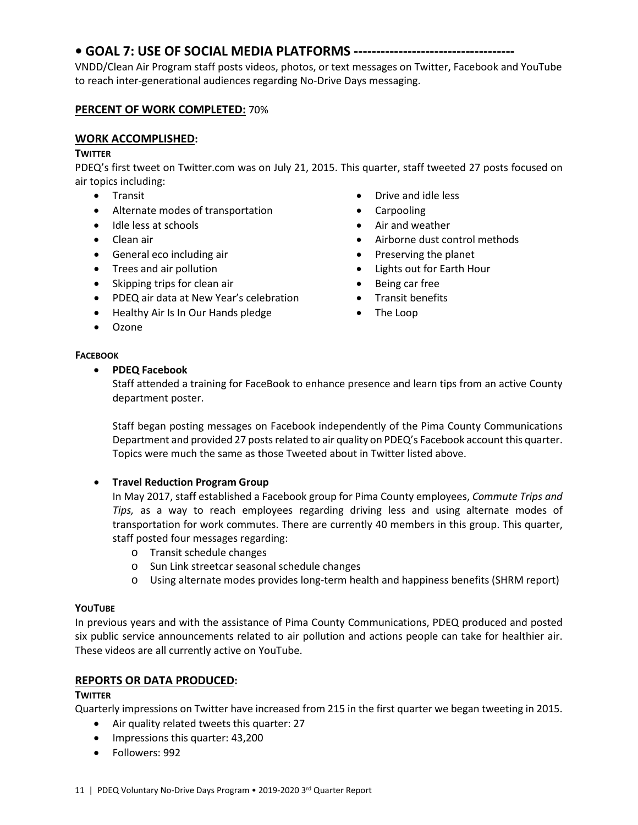# **• GOAL 7: USE OF SOCIAL MEDIA PLATFORMS ------------------------------------**

VNDD/Clean Air Program staff posts videos, photos, or text messages on Twitter, Facebook and YouTube to reach inter-generational audiences regarding No-Drive Days messaging.

## **PERCENT OF WORK COMPLETED:** 70%

## **WORK ACCOMPLISHED:**

#### **TWITTER**

PDEQ's first tweet on Twitter.com was on July 21, 2015. This quarter, staff tweeted 27 posts focused on air topics including:

- Transit
- Alternate modes of transportation
- Idle less at schools
- Clean air
- General eco including air
- Trees and air pollution
- Skipping trips for clean air
- PDEQ air data at New Year's celebration
- Healthy Air Is In Our Hands pledge
- Ozone

## **FACEBOOK**

## • **PDEQ Facebook**

Staff attended a training for FaceBook to enhance presence and learn tips from an active County department poster.

Staff began posting messages on Facebook independently of the Pima County Communications Department and provided 27 posts related to air quality on PDEQ's Facebook account this quarter. Topics were much the same as those Tweeted about in Twitter listed above.

## • **Travel Reduction Program Group**

In May 2017, staff established a Facebook group for Pima County employees, *Commute Trips and Tips,* as a way to reach employees regarding driving less and using alternate modes of transportation for work commutes. There are currently 40 members in this group. This quarter, staff posted four messages regarding:

- o Transit schedule changes
- o Sun Link streetcar seasonal schedule changes
- o Using alternate modes provides long-term health and happiness benefits (SHRM report)

## **YOUTUBE**

In previous years and with the assistance of Pima County Communications, PDEQ produced and posted six public service announcements related to air pollution and actions people can take for healthier air. These videos are all currently active on YouTube.

## **REPORTS OR DATA PRODUCED:**

## **TWITTER**

Quarterly impressions on Twitter have increased from 215 in the first quarter we began tweeting in 2015.

- Air quality related tweets this quarter: 27
- Impressions this quarter: 43,200
- Followers: 992
- Drive and idle less
- Carpooling
- Air and weather
- Airborne dust control methods
- Preserving the planet
- Lights out for Earth Hour
- Being car free
- Transit benefits
- The Loop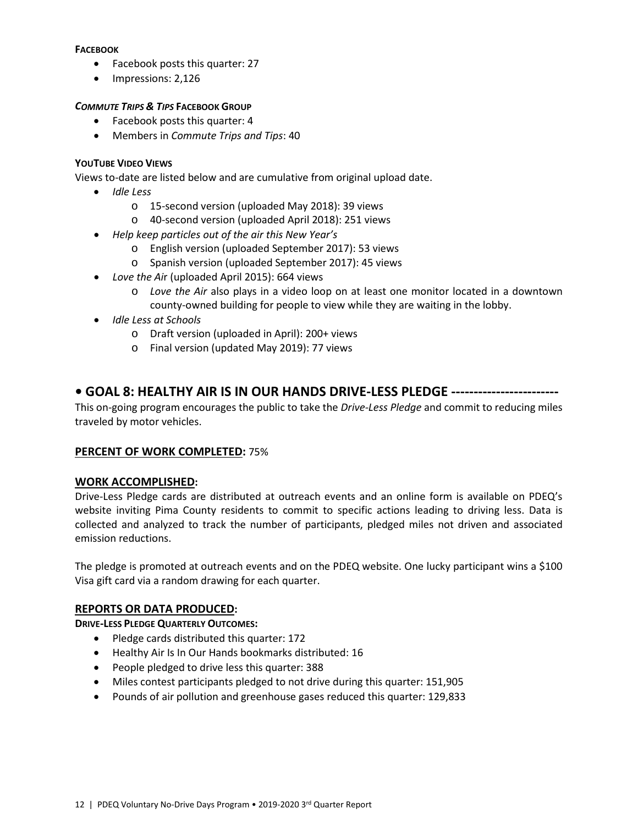#### **FACEBOOK**

- Facebook posts this quarter: 27
- Impressions: 2,126

## *COMMUTE TRIPS & TIPS* **FACEBOOK GROUP**

- Facebook posts this quarter: 4
- Members in *Commute Trips and Tips*: 40

## **YOUTUBE VIDEO VIEWS**

Views to-date are listed below and are cumulative from original upload date.

- *Idle Less*
	- o 15-second version (uploaded May 2018): 39 views
	- o 40-second version (uploaded April 2018): 251 views
- *Help keep particles out of the air this New Year's* 
	- o English version (uploaded September 2017): 53 views
	- o Spanish version (uploaded September 2017): 45 views
- *Love the Ai*r (uploaded April 2015): 664 views
	- o *Love the Air* also plays in a video loop on at least one monitor located in a downtown county-owned building for people to view while they are waiting in the lobby.
- *Idle Less at Schools*
	- o Draft version (uploaded in April): 200+ views
	- o Final version (updated May 2019): 77 views

# **• GOAL 8: HEALTHY AIR IS IN OUR HANDS DRIVE-LESS PLEDGE ------------------------**

This on-going program encourages the public to take the *Drive-Less Pledge* and commit to reducing miles traveled by motor vehicles.

## **PERCENT OF WORK COMPLETED:** 75%

## **WORK ACCOMPLISHED:**

Drive-Less Pledge cards are distributed at outreach events and an online form is available on PDEQ's website inviting Pima County residents to commit to specific actions leading to driving less. Data is collected and analyzed to track the number of participants, pledged miles not driven and associated emission reductions.

The pledge is promoted at outreach events and on the PDEQ website. One lucky participant wins a \$100 Visa gift card via a random drawing for each quarter.

## **REPORTS OR DATA PRODUCED:**

**DRIVE-LESS PLEDGE QUARTERLY OUTCOMES:**

- Pledge cards distributed this quarter: 172
- Healthy Air Is In Our Hands bookmarks distributed: 16
- People pledged to drive less this quarter: 388
- Miles contest participants pledged to not drive during this quarter: 151,905
- Pounds of air pollution and greenhouse gases reduced this quarter: 129,833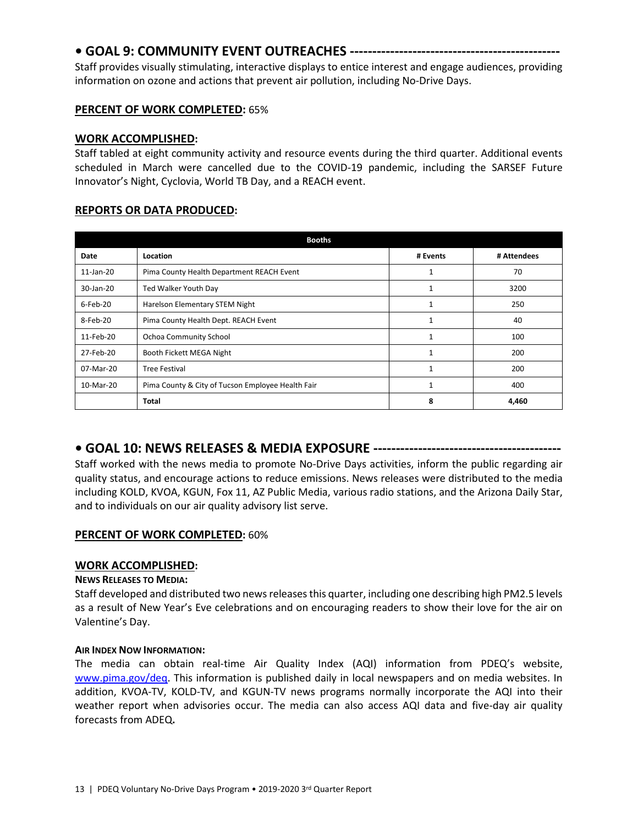# **• GOAL 9: COMMUNITY EVENT OUTREACHES -----------------------------------------------**

Staff provides visually stimulating, interactive displays to entice interest and engage audiences, providing information on ozone and actions that prevent air pollution, including No-Drive Days.

# **PERCENT OF WORK COMPLETED:** 65%

## **WORK ACCOMPLISHED:**

Staff tabled at eight community activity and resource events during the third quarter. Additional events scheduled in March were cancelled due to the COVID-19 pandemic, including the SARSEF Future Innovator's Night, Cyclovia, World TB Day, and a REACH event.

# **REPORTS OR DATA PRODUCED:**

| <b>Booths</b> |                                                   |          |             |  |  |
|---------------|---------------------------------------------------|----------|-------------|--|--|
| Date          | Location                                          | # Events | # Attendees |  |  |
| 11-Jan-20     | Pima County Health Department REACH Event         |          | 70          |  |  |
| 30-Jan-20     | Ted Walker Youth Day<br>1                         |          | 3200        |  |  |
| 6-Feb-20      | Harelson Elementary STEM Night                    |          | 250         |  |  |
| 8-Feb-20      | Pima County Health Dept. REACH Event              |          | 40          |  |  |
| 11-Feb-20     | Ochoa Community School                            | 1        | 100         |  |  |
| 27-Feb-20     | Booth Fickett MEGA Night                          |          | 200         |  |  |
| 07-Mar-20     | <b>Tree Festival</b>                              | 1        | 200         |  |  |
| 10-Mar-20     | Pima County & City of Tucson Employee Health Fair | 1        | 400         |  |  |
|               | Total                                             | 8        | 4,460       |  |  |

# **• GOAL 10: NEWS RELEASES & MEDIA EXPOSURE ------------------------------------------**

Staff worked with the news media to promote No-Drive Days activities, inform the public regarding air quality status, and encourage actions to reduce emissions. News releases were distributed to the media including KOLD, KVOA, KGUN, Fox 11, AZ Public Media, various radio stations, and the Arizona Daily Star, and to individuals on our air quality advisory list serve.

# **PERCENT OF WORK COMPLETED:** 60%

## **WORK ACCOMPLISHED:**

## **NEWS RELEASES TO MEDIA:**

Staff developed and distributed two news releasesthis quarter, including one describing high PM2.5 levels as a result of New Year's Eve celebrations and on encouraging readers to show their love for the air on Valentine's Day.

## **AIR INDEX NOW INFORMATION:**

The media can obtain real-time Air Quality Index (AQI) information from PDEQ's website, [www.pima.gov/deq.](http://www.pima.gov/deq) This information is published daily in local newspapers and on media websites. In addition, KVOA-TV, KOLD-TV, and KGUN-TV news programs normally incorporate the AQI into their weather report when advisories occur. The media can also access AQI data and five-day air quality forecasts from ADEQ**.**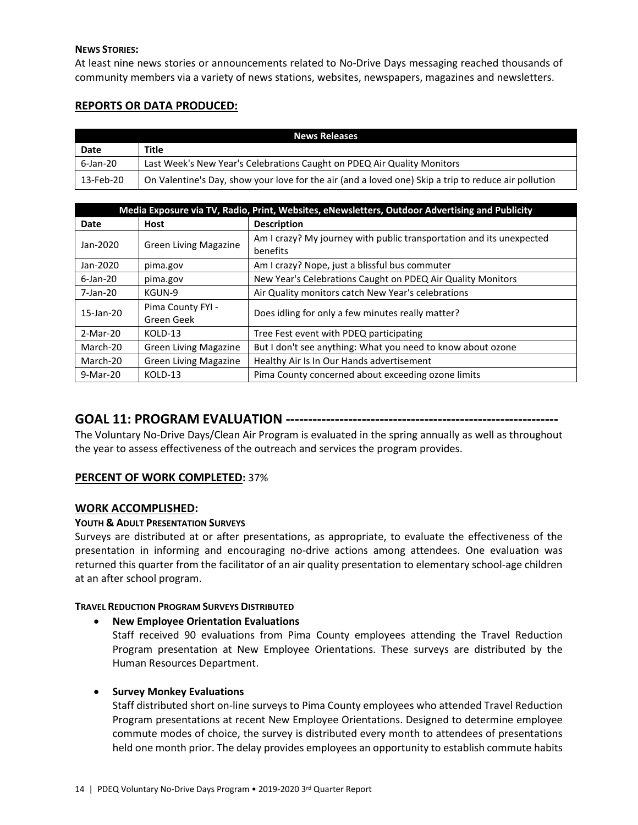#### **NEWS STORIES:**

At least nine news stories or announcements related to No-Drive Days messaging reached thousands of community members via a variety of news stations, websites, newspapers, magazines and newsletters.

## **REPORTS OR DATA PRODUCED:**

| <b>News Releases</b> |                                                                                                      |  |  |
|----------------------|------------------------------------------------------------------------------------------------------|--|--|
| Date                 | Title                                                                                                |  |  |
| 6-Jan-20             | Last Week's New Year's Celebrations Caught on PDEQ Air Quality Monitors                              |  |  |
| 13-Feb-20            | On Valentine's Day, show your love for the air (and a loved one) Skip a trip to reduce air pollution |  |  |

| Media Exposure via TV, Radio, Print, Websites, eNewsletters, Outdoor Advertising and Publicity |                                 |                                                                                  |  |  |
|------------------------------------------------------------------------------------------------|---------------------------------|----------------------------------------------------------------------------------|--|--|
| Date                                                                                           | <b>Host</b>                     | <b>Description</b>                                                               |  |  |
| Jan-2020                                                                                       | <b>Green Living Magazine</b>    | Am I crazy? My journey with public transportation and its unexpected<br>benefits |  |  |
| Jan-2020                                                                                       | pima.gov                        | Am I crazy? Nope, just a blissful bus commuter                                   |  |  |
| $6$ -Jan-20                                                                                    | pima.gov                        | New Year's Celebrations Caught on PDEQ Air Quality Monitors                      |  |  |
| 7-Jan-20                                                                                       | KGUN-9                          | Air Quality monitors catch New Year's celebrations                               |  |  |
| 15-Jan-20                                                                                      | Pima County FYI -<br>Green Geek | Does idling for only a few minutes really matter?                                |  |  |
| 2-Mar-20                                                                                       | KOLD-13                         | Tree Fest event with PDEQ participating                                          |  |  |
| March-20                                                                                       | <b>Green Living Magazine</b>    | But I don't see anything: What you need to know about ozone                      |  |  |
| March-20                                                                                       | <b>Green Living Magazine</b>    | Healthy Air Is In Our Hands advertisement                                        |  |  |
| 9-Mar-20                                                                                       | KOLD-13                         | Pima County concerned about exceeding ozone limits                               |  |  |

# **GOAL 11: PROGRAM EVALUATION -------------------------------------------------------------**

The Voluntary No-Drive Days/Clean Air Program is evaluated in the spring annually as well as throughout the year to assess effectiveness of the outreach and services the program provides.

# **PERCENT OF WORK COMPLETED:** 37%

## **WORK ACCOMPLISHED:**

## **YOUTH & ADULT PRESENTATION SURVEYS**

Surveys are distributed at or after presentations, as appropriate, to evaluate the effectiveness of the presentation in informing and encouraging no-drive actions among attendees. One evaluation was returned this quarter from the facilitator of an air quality presentation to elementary school-age children at an after school program.

## **TRAVEL REDUCTION PROGRAM SURVEYS DISTRIBUTED**

## • **New Employee Orientation Evaluations**

Staff received 90 evaluations from Pima County employees attending the Travel Reduction Program presentation at New Employee Orientations. These surveys are distributed by the Human Resources Department.

## • **Survey Monkey Evaluations**

Staff distributed short on-line surveys to Pima County employees who attended Travel Reduction Program presentations at recent New Employee Orientations. Designed to determine employee commute modes of choice, the survey is distributed every month to attendees of presentations held one month prior. The delay provides employees an opportunity to establish commute habits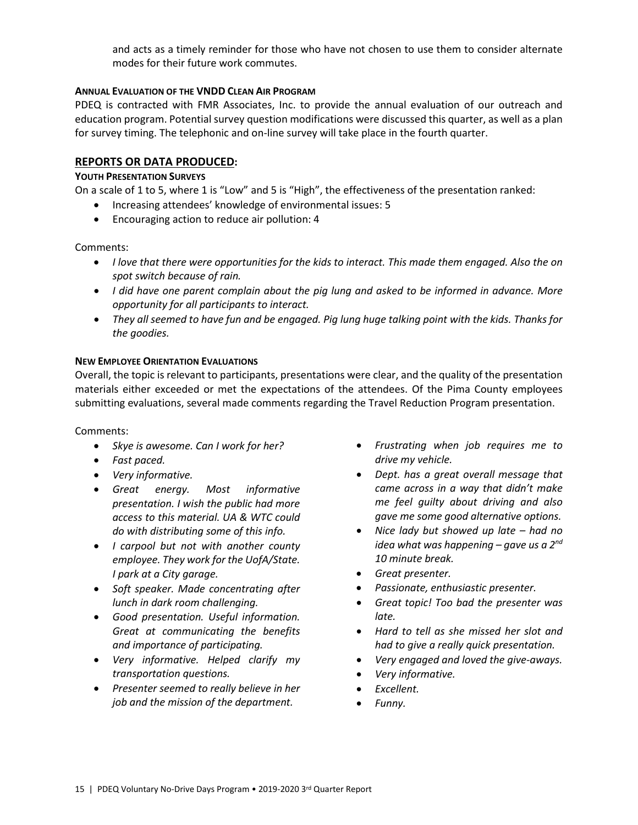and acts as a timely reminder for those who have not chosen to use them to consider alternate modes for their future work commutes.

#### **ANNUAL EVALUATION OF THE VNDD CLEAN AIR PROGRAM**

PDEQ is contracted with FMR Associates, Inc. to provide the annual evaluation of our outreach and education program. Potential survey question modifications were discussed this quarter, as well as a plan for survey timing. The telephonic and on-line survey will take place in the fourth quarter.

#### **REPORTS OR DATA PRODUCED:**

#### **YOUTH PRESENTATION SURVEYS**

On a scale of 1 to 5, where 1 is "Low" and 5 is "High", the effectiveness of the presentation ranked:

- Increasing attendees' knowledge of environmental issues: 5
- Encouraging action to reduce air pollution: 4

#### Comments:

- *I love that there were opportunities for the kids to interact. This made them engaged. Also the on spot switch because of rain.*
- *I did have one parent complain about the pig lung and asked to be informed in advance. More opportunity for all participants to interact.*
- *They all seemed to have fun and be engaged. Pig lung huge talking point with the kids. Thanks for the goodies.*

#### **NEW EMPLOYEE ORIENTATION EVALUATIONS**

Overall, the topic is relevant to participants, presentations were clear, and the quality of the presentation materials either exceeded or met the expectations of the attendees. Of the Pima County employees submitting evaluations, several made comments regarding the Travel Reduction Program presentation.

Comments:

- *Skye is awesome. Can I work for her?*
- *Fast paced.*
- *Very informative.*
- *Great energy. Most informative presentation. I wish the public had more access to this material. UA & WTC could do with distributing some of this info.*
- *I carpool but not with another county employee. They work for the UofA/State. I park at a City garage.*
- *Soft speaker. Made concentrating after lunch in dark room challenging.*
- *Good presentation. Useful information. Great at communicating the benefits and importance of participating.*
- *Very informative. Helped clarify my transportation questions.*
- *Presenter seemed to really believe in her job and the mission of the department.*
- *Frustrating when job requires me to drive my vehicle.*
- *Dept. has a great overall message that came across in a way that didn't make me feel guilty about driving and also gave me some good alternative options.*
- *Nice lady but showed up late – had no idea what was happening – gave us a 2nd 10 minute break.*
- *Great presenter.*
- *Passionate, enthusiastic presenter.*
- *Great topic! Too bad the presenter was late.*
- *Hard to tell as she missed her slot and had to give a really quick presentation.*
- *Very engaged and loved the give-aways.*
- *Very informative.*
- *Excellent.*
- *Funny.*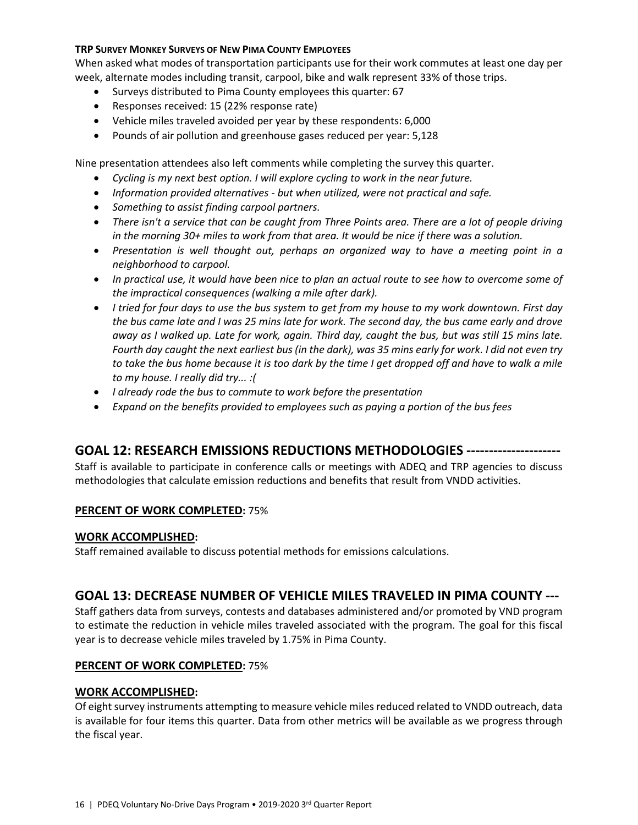#### **TRP SURVEY MONKEY SURVEYS OF NEW PIMA COUNTY EMPLOYEES**

When asked what modes of transportation participants use for their work commutes at least one day per week, alternate modes including transit, carpool, bike and walk represent 33% of those trips.

- Surveys distributed to Pima County employees this quarter: 67
- Responses received: 15 (22% response rate)
- Vehicle miles traveled avoided per year by these respondents: 6,000
- Pounds of air pollution and greenhouse gases reduced per year: 5,128

Nine presentation attendees also left comments while completing the survey this quarter.

- *Cycling is my next best option. I will explore cycling to work in the near future.*
- *Information provided alternatives - but when utilized, were not practical and safe.*
- *Something to assist finding carpool partners.*
- *There isn't a service that can be caught from Three Points area. There are a lot of people driving in the morning 30+ miles to work from that area. It would be nice if there was a solution.*
- *Presentation is well thought out, perhaps an organized way to have a meeting point in a neighborhood to carpool.*
- *In practical use, it would have been nice to plan an actual route to see how to overcome some of the impractical consequences (walking a mile after dark).*
- *I tried for four days to use the bus system to get from my house to my work downtown. First day the bus came late and I was 25 mins late for work. The second day, the bus came early and drove away as I walked up. Late for work, again. Third day, caught the bus, but was still 15 mins late. Fourth day caught the next earliest bus (in the dark), was 35 mins early for work. I did not even try*  to take the bus home because it is too dark by the time I get dropped off and have to walk a mile *to my house. I really did try... :(*
- *I already rode the bus to commute to work before the presentation*
- *Expand on the benefits provided to employees such as paying a portion of the bus fees*

# **GOAL 12: RESEARCH EMISSIONS REDUCTIONS METHODOLOGIES ---------------------**

Staff is available to participate in conference calls or meetings with ADEQ and TRP agencies to discuss methodologies that calculate emission reductions and benefits that result from VNDD activities.

## **PERCENT OF WORK COMPLETED:** 75%

## **WORK ACCOMPLISHED:**

Staff remained available to discuss potential methods for emissions calculations.

# **GOAL 13: DECREASE NUMBER OF VEHICLE MILES TRAVELED IN PIMA COUNTY ---**

Staff gathers data from surveys, contests and databases administered and/or promoted by VND program to estimate the reduction in vehicle miles traveled associated with the program. The goal for this fiscal year is to decrease vehicle miles traveled by 1.75% in Pima County.

## **PERCENT OF WORK COMPLETED:** 75%

## **WORK ACCOMPLISHED:**

Of eight survey instruments attempting to measure vehicle miles reduced related to VNDD outreach, data is available for four items this quarter. Data from other metrics will be available as we progress through the fiscal year.